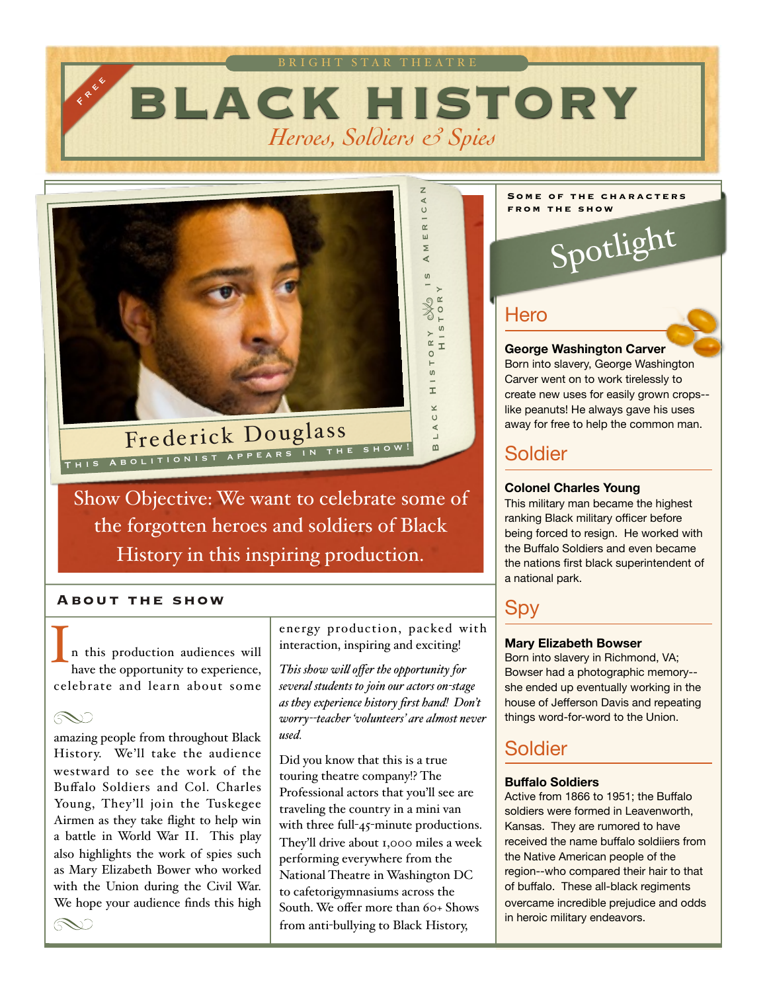



Show Objective: We want to celebrate some of the forgotten heroes and soldiers of Black History in this inspiring production.

### **About the show**

n this production audiences will have the opportunity to experience, celebrate and learn about some I

 $\infty$ 

amazing people from throughout Black History. We'll take the audience westward to see the work of the Buffalo Soldiers and Col. Charles Young, They'll join the Tuskegee Airmen as they take flight to help win a battle in World War II. This play also highlights the work of spies such as Mary Elizabeth Bower who worked with the Union during the Civil War. We hope your audience finds this high energy production, packed with interaction, inspiring and exciting!

*This show wil offer the opportunity for several students to join our actors on-stage as they experience history first hand! Don't worry--teacher 'volunteers' are almost never used.*

Did you know that this is a true touring theatre company!? The Professional actors that you'll see are traveling the country in a mini van with three full-45-minute productions. They'll drive about 1,000 miles a week performing everywhere from the National Theatre in Washington DC to cafetorigymnasiums across the South. We offer more than 60+ Shows from anti-bullying to Black History,

#### **Some of the characters from the show**

Spotlight

### **Hero**

**George Washington Carver** 

Born into slavery, George Washington Carver went on to work tirelessly to create new uses for easily grown crops- like peanuts! He always gave his uses away for free to help the common man.

### Soldier

#### **Colonel Charles Young**

This military man became the highest ranking Black military officer before being forced to resign. He worked with the Buffalo Soldiers and even became the nations first black superintendent of a national park.

### Spy

#### **Mary Elizabeth Bowser**

Born into slavery in Richmond, VA; Bowser had a photographic memory- she ended up eventually working in the house of Jefferson Davis and repeating things word-for-word to the Union.

### Soldier

#### **Buffalo Soldiers**

Active from 1866 to 1951; the Buffalo soldiers were formed in Leavenworth, Kansas. They are rumored to have received the name buffalo soldiiers from the Native American people of the region--who compared their hair to that of buffalo. These all-black regiments overcame incredible prejudice and odds in heroic military endeavors.

 $\infty$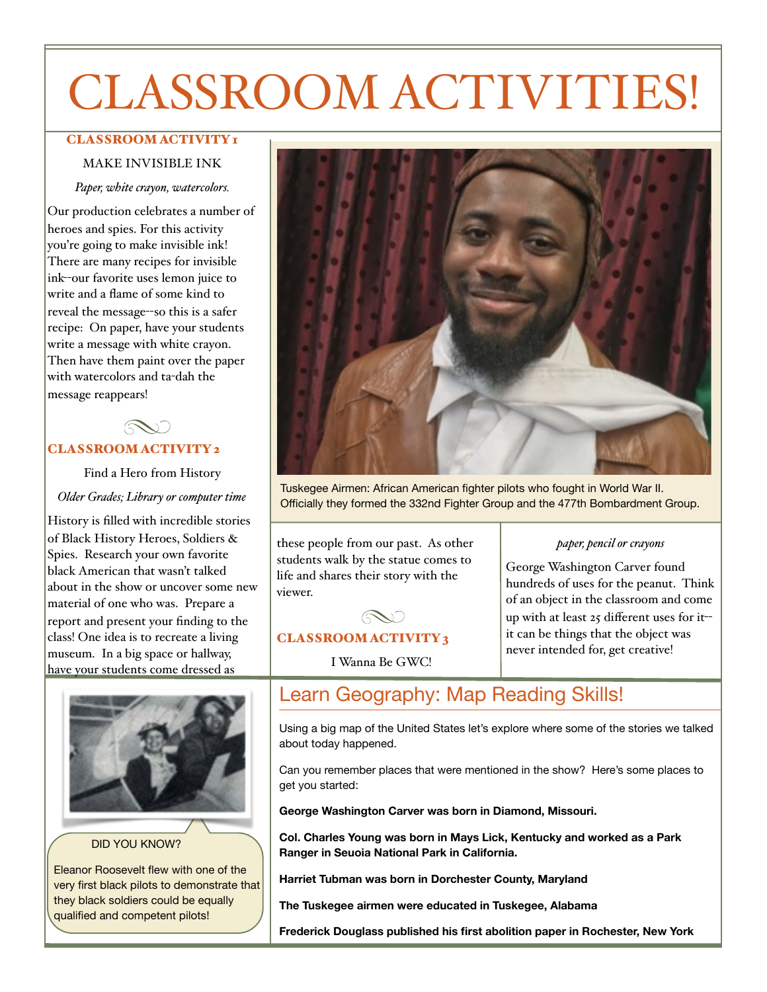# CLASSROOM ACTIVITIES!

#### CLASSROOM ACTIVITY I

#### MAKE INVISIBLE INK

*Paper, white crayon, watercolors.*

Our production celebrates a number of heroes and spies. For this activity you're going to make invisible ink! There are many recipes for invisible ink--our favorite uses lemon juice to write and a flame of some kind to reveal the message--so this is a safer recipe: On paper, have your students write a message with white crayon. Then have them paint over the paper with watercolors and ta-dah the message reappears!

CLASSROOM ACTIVITY 2

Find a Hero from History

*Older Grades; Library or computer time*

History is filled with incredible stories of Black History Heroes, Soldiers & Spies. Research your own favorite black American that wasn't talked about in the show or uncover some new material of one who was. Prepare a report and present your finding to the class! One idea is to recreate a living museum. In a big space or hallway, have your students come dressed as



DID YOU KNOW?

Eleanor Roosevelt flew with one of the very first black pilots to demonstrate that they black soldiers could be equally qualified and competent pilots!



Tuskegee Airmen: African American fighter pilots who fought in World War II. Officially they formed the 332nd Fighter Group and the 477th Bombardment Group.

these people from our past. As other students walk by the statue comes to life and shares their story with the viewer.

#### *paper, pencil or crayons*

George Washington Carver found hundreds of uses for the peanut. Think of an object in the classroom and come up with at least 25 different uses for it- it can be things that the object was never intended for, get creative!

### CLASSROOM ACTIVITY 3

I Wanna Be GWC!

RV)

### Learn Geography: Map Reading Skills!

Using a big map of the United States let's explore where some of the stories we talked about today happened.

Can you remember places that were mentioned in the show? Here's some places to get you started:

**George Washington Carver was born in Diamond, Missouri.** 

**Col. Charles Young was born in Mays Lick, Kentucky and worked as a Park Ranger in Seuoia National Park in California.** 

**Harriet Tubman was born in Dorchester County, Maryland** 

**The Tuskegee airmen were educated in Tuskegee, Alabama** 

**Frederick Douglass published his first abolition paper in Rochester, New York**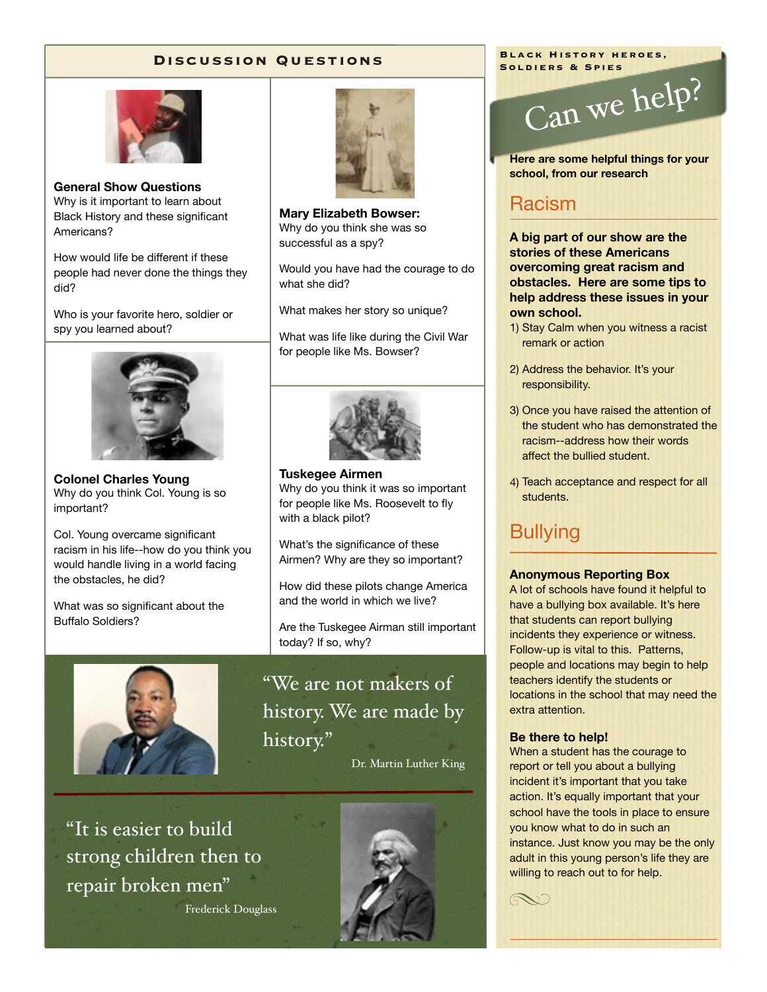#### **Discussion Questions**



**General Show Questions**  Why is it important to learn about Black History and these significant Americans?

How would life be different if these people had never done the things they did?

Who is your favorite hero, soldier or spy you learned about?



**Colonel Charles Young**  Why do you think Col. Young is so important?

Col. Young overcame significant racism in his life--how do you think you would handle living in a world facing the obstacles, he did?

What was so significant about the Buffalo Soldiers?



**Mary Elizabeth Bowser:**  Why do you think she was so successful as a spy?

Would you have had the courage to do what she did?

What makes her story so unique?

What was life like during the Civil War for people like Ms. Bowser?



**Tuskegee Airmen**  Why do you think it was so important for people like Ms. Roosevelt to fly with a black pilot?

What's the significance of these Airmen? Why are they so important?

How did these pilots change America and the world in which we live?

Are the Tuskegee Airman still important today? If so, why?

"We are not makers of history. We are made by history."

Dr. Martin Luther King



"It is easier to build strong children then to repair broken men"

Frederick Douglass



**Black History heroes, Soldiers & Spies**



**Here are some helpful things for your school, from our research** 

### Racism

**A big part of our show are the stories of these Americans overcoming great racism and obstacles. Here are some tips to help address these issues in your own school.** 

- 1) Stay Calm when you witness a racist remark or action
- 2) Address the behavior. It's your responsibility.
- 3) Once you have raised the attention of the student who has demonstrated the racism--address how their words affect the bullied student.
- 4) Teach acceptance and respect for all students.

### **Bullying**

#### **Anonymous Reporting Box**

A lot of schools have found it helpful to have a bullying box available. It's here that students can report bullying incidents they experience or witness. Follow-up is vital to this. Patterns, people and locations may begin to help teachers identify the students or locations in the school that may need the extra attention.

#### **Be there to help!**

When a student has the courage to report or tell you about a bullying incident it's important that you take action. It's equally important that your school have the tools in place to ensure you know what to do in such an instance. Just know you may be the only adult in this young person's life they are willing to reach out to for help.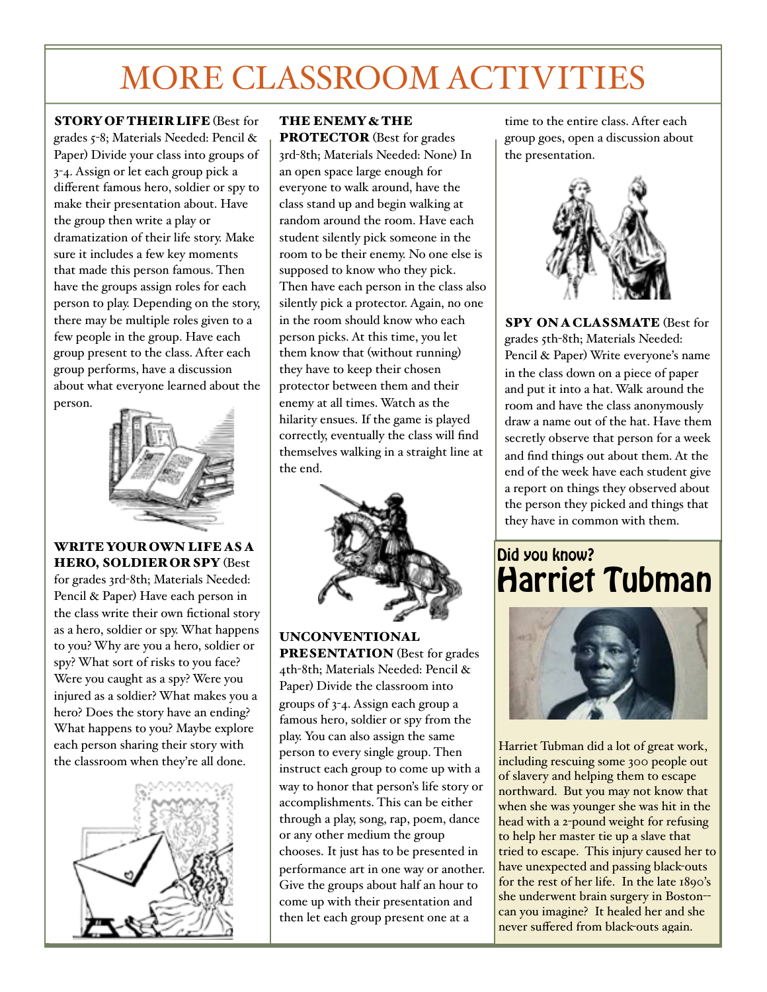# MORE CLASSROOM ACTIVITIES

STORY OF THEIR LIFE (Best for grades 5-8; Materials Needed: Pencil & Paper) Divide your class into groups of 3-4. Assign or let each group pick a different famous hero, soldier or spy to make their presentation about. Have the group then write a play or dramatization of their life story. Make sure it includes a few key moments that made this person famous. Then have the groups assign roles for each person to play. Depending on the story, there may be multiple roles given to a few people in the group. Have each group present to the class. After each group performs, have a discussion about what everyone learned about the person.



WRITE YOUR OWN LIFE AS A HERO, SOLDIER OR SPY (Best for grades 3rd-8th; Materials Needed: Pencil & Paper) Have each person in the class write their own fictional story

as a hero, soldier or spy. What happens to you? Why are you a hero, soldier or spy? What sort of risks to you face? Were you caught as a spy? Were you injured as a soldier? What makes you a hero? Does the story have an ending? What happens to you? Maybe explore each person sharing their story with the classroom when they're all done.



### THE ENEMY & THE

PROTECTOR (Best for grades 3rd-8th; Materials Needed: None) In an open space large enough for everyone to walk around, have the class stand up and begin walking at random around the room. Have each student silently pick someone in the room to be their enemy. No one else is supposed to know who they pick. Then have each person in the class also silently pick a protector. Again, no one in the room should know who each person picks. At this time, you let them know that (without running) they have to keep their chosen protector between them and their enemy at all times. Watch as the hilarity ensues. If the game is played correctly, eventually the class will find themselves walking in a straight line at the end.



UNCONVENTIONAL PRESENTATION (Best for grades 4th-8th; Materials Needed: Pencil &

Paper) Divide the classroom into groups of 3-4. Assign each group a famous hero, soldier or spy from the play. You can also assign the same person to every single group. Then instruct each group to come up with a way to honor that person's life story or accomplishments. This can be either through a play, song, rap, poem, dance or any other medium the group chooses. It just has to be presented in performance art in one way or another. Give the groups about half an hour to come up with their presentation and then let each group present one at a

time to the entire class. After each group goes, open a discussion about the presentation.



SPY ON A CLASSMATE (Best for grades 5th-8th; Materials Needed: Pencil & Paper) Write everyone's name in the class down on a piece of paper and put it into a hat. Walk around the room and have the class anonymously draw a name out of the hat. Have them secretly observe that person for a week and find things out about them. At the end of the week have each student give a report on things they observed about the person they picked and things that they have in common with them.

### Did you know? Harriet Tubman



Harriet Tubman did a lot of great work, including rescuing some 300 people out of slavery and helping them to escape northward. But you may not know that when she was younger she was hit in the head with a 2-pound weight for refusing to help her master tie up a slave that tried to escape. This injury caused her to have unexpected and passing black-outs for the rest of her life. In the late 1890's she underwent brain surgery in Boston- can you imagine? It healed her and she never suffered from black-outs again.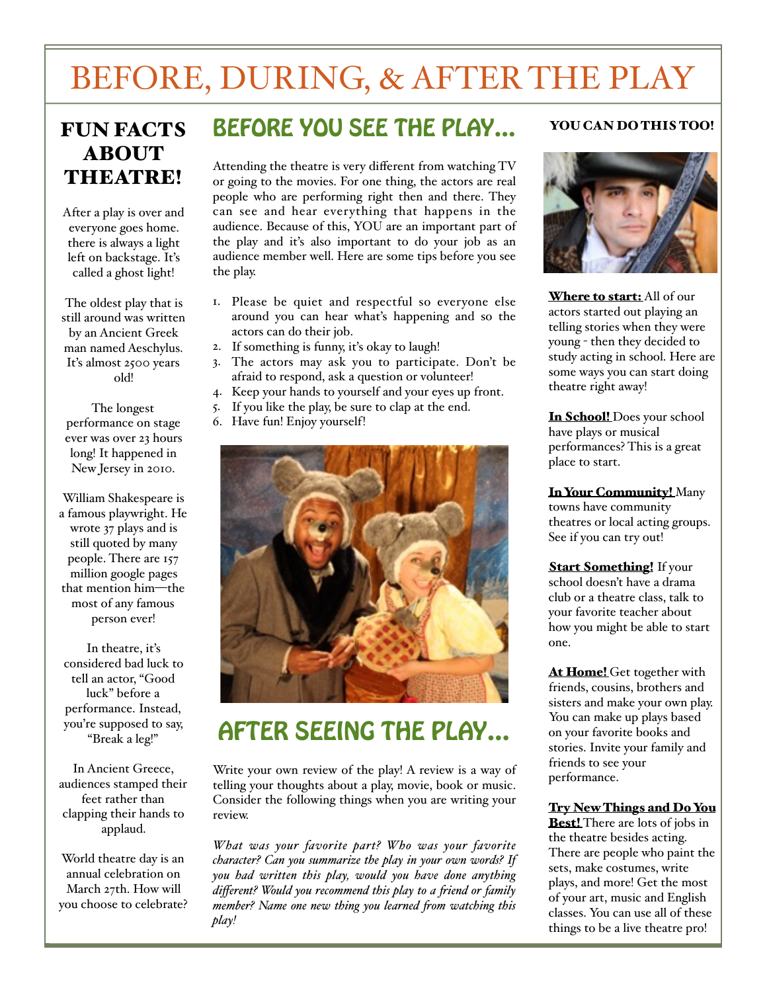# BEFORE, DURING, & AFTER THE PLAY

### FUN FACTS ABOUT THEATRE!

After a play is over and everyone goes home. there is always a light left on backstage. It's called a ghost light!

The oldest play that is still around was written by an Ancient Greek man named Aeschylus. It's almost 2500 years old!

The longest performance on stage ever was over 23 hours long! It happened in New Jersey in 2010.

William Shakespeare is a famous playwright. He wrote 37 plays and is still quoted by many people. There are 157 million google pages that mention him—the most of any famous person ever!

In theatre, it's considered bad luck to tell an actor, "Good luck" before a performance. Instead, you're supposed to say, "Break a leg!"

In Ancient Greece, audiences stamped their feet rather than clapping their hands to applaud.

World theatre day is an annual celebration on March 27th. How will you choose to celebrate?

### BEFORE YOU SEE THE PLAY…

Attending the theatre is very different from watching TV or going to the movies. For one thing, the actors are real people who are performing right then and there. They can see and hear everything that happens in the audience. Because of this, YOU are an important part of the play and it's also important to do your job as an audience member well. Here are some tips before you see the play.

- 1. Please be quiet and respectful so everyone else around you can hear what's happening and so the actors can do their job.
- 2. If something is funny, it's okay to laugh!
- 3. The actors may ask you to participate. Don't be afraid to respond, ask a question or volunteer!
- 4. Keep your hands to yourself and your eyes up front.
- 5. If you like the play, be sure to clap at the end.
- 6. Have fun! Enjoy yourself!



### AFTER SEEING THE PLAY…

Write your own review of the play! A review is a way of telling your thoughts about a play, movie, book or music. Consider the following things when you are writing your review.

*What was your favorite part? Who was your favorite character? Can you summarize the play in your own words? If you had written this play, would you have done anything different? Would you recommend this play to a fiend or family member? Name one new thing you learned fom watching this play!*

#### YOU CAN DO THIS TOO!



Where to start: All of our actors started out playing an telling stories when they were young - then they decided to study acting in school. Here are some ways you can start doing theatre right away!

In School! Does your school have plays or musical performances? This is a great place to start.

In Your Community! Many towns have community theatres or local acting groups. See if you can try out!

**Start Something!** If your school doesn't have a drama club or a theatre class, talk to your favorite teacher about how you might be able to start one.

At Home! Get together with friends, cousins, brothers and sisters and make your own play. You can make up plays based on your favorite books and stories. Invite your family and friends to see your performance.

Try New Things and Do You

**Best!** There are lots of jobs in the theatre besides acting. There are people who paint the sets, make costumes, write plays, and more! Get the most of your art, music and English classes. You can use all of these things to be a live theatre pro!